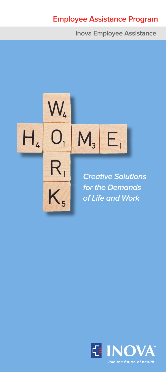# **Employee Assistance Program**

**Inova Employee Assistance**



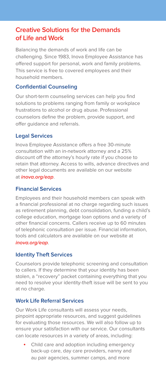## **Creative Solutions for the Demands of Life and Work**

Balancing the demands of work and life can be challenging. Since 1983, Inova Employee Assistance has offered support for personal, work and family problems. This service is free to covered employees and their household members.

#### **Confidential Counseling**

Our short-term counseling services can help you find solutions to problems ranging from family or workplace frustrations to alcohol or drug abuse. Professional counselors define the problem, provide support, and offer guidance and referrals.

#### **Legal Services**

Inova Employee Assistance offers a free 30-minute consultation with an in-network attorney and a 25% discount off the attorney's hourly rate if you choose to retain that attorney. Access to wills, advance directives and other legal documents are available on our website at **inova.org/eap**.

#### **Financial Services**

Employees and their household members can speak with a financial professional at no charge regarding such issues as retirement planning, debt consolidation, funding a child's college education, mortgage loan options and a variety of other financial concerns. Callers receive up to 60 minutes of telephonic consultation per issue. Financial information, tools and calculators are available on our website at **inova.org/eap**.

#### **Identity Theft Services**

Counselors provide telephonic screening and consultation to callers. If they determine that your identity has been stolen, a "recovery" packet containing everything that you need to resolve your identity-theft issue will be sent to you at no charge.

#### **Work Life Referral Services**

Our Work Life consultants will assess your needs, pinpoint appropriate resources, and suggest guidelines for evaluating those resources. We will also follow up to ensure your satisfaction with our service. Our consultants can locate resources in a variety of areas, including:

• Child care and adoption including emergency back-up care, day care providers, nanny and au pair agencies, summer camps, and more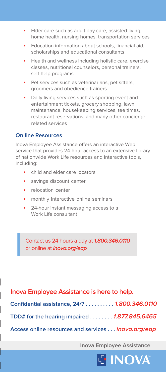- Elder care such as adult day care, assisted living, home health, nursing homes, transportation services
- Education information about schools, financial aid, scholarships and educational consultants
- Health and wellness including holistic care, exercise classes, nutritional counselors, personal trainers, self-help programs
- Pet services such as veterinarians, pet sitters, groomers and obedience trainers
- Daily living services such as sporting event and entertainment tickets, grocery shopping, lawn maintenance, housekeeping services, tee times, restaurant reservations, and many other concierge related services

#### **On-line Resources**

Inova Employee Assistance offers an interactive Web service that provides 24-hour access to an extensive library of nationwide Work Life resources and interactive tools, including:

- child and elder care locators
- savings discount center
- relocation center
- monthly interactive online seminars
- 24-hour instant messaging access to a Work Life consultant

Contact us 24 hours a day at **1.800.346.0110** or online at **inova.org/eap**

**Confidential assistance, 24/7 . . . . . . . . . . 1.800.346.0110 TDD# for the hearing impaired . . . . . . . . 1.877.845.6465 Access online resources and services . . . inova.org/eap Inova Employee Assistance is here to help.**

**Inova Employee Assistance**